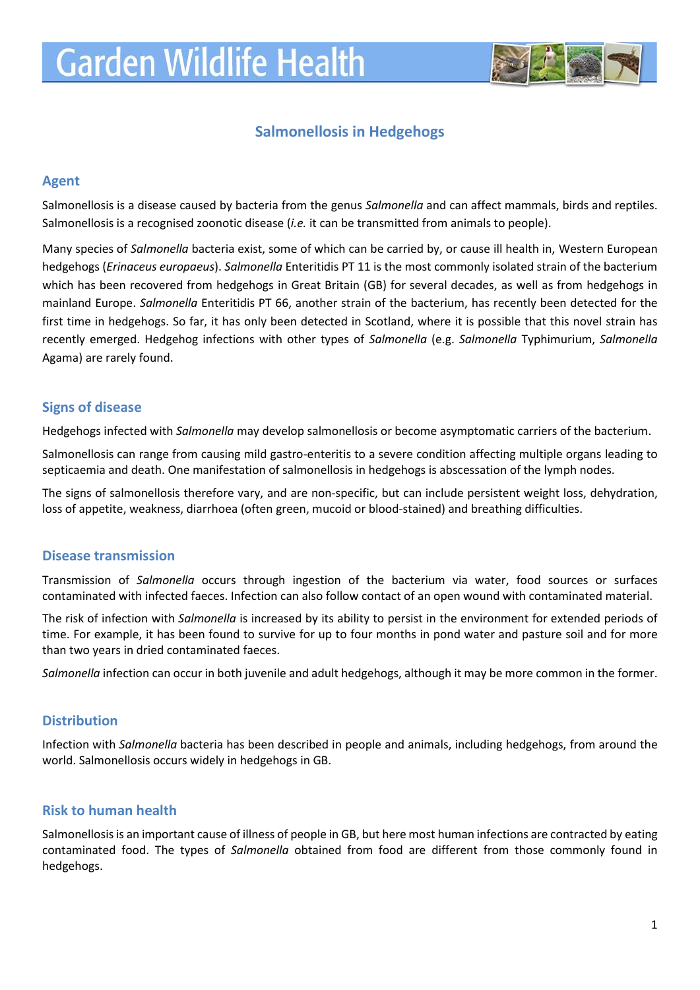

# **Salmonellosis in Hedgehogs**

### **Agent**

Salmonellosis is a disease caused by bacteria from the genus *Salmonella* and can affect mammals, birds and reptiles. Salmonellosis is a recognised zoonotic disease (*i.e.* it can be transmitted from animals to people).

Many species of *Salmonella* bacteria exist, some of which can be carried by, or cause ill health in, Western European hedgehogs (*Erinaceus europaeus*). *Salmonella* Enteritidis PT 11 is the most commonly isolated strain of the bacterium which has been recovered from hedgehogs in Great Britain (GB) for several decades, as well as from hedgehogs in mainland Europe. *Salmonella* Enteritidis PT 66, another strain of the bacterium, has recently been detected for the first time in hedgehogs. So far, it has only been detected in Scotland, where it is possible that this novel strain has recently emerged. Hedgehog infections with other types of *Salmonella* (e.g. *Salmonella* Typhimurium, *Salmonella* Agama) are rarely found.

### **Signs of disease**

Hedgehogs infected with *Salmonella* may develop salmonellosis or become asymptomatic carriers of the bacterium.

Salmonellosis can range from causing mild gastro-enteritis to a severe condition affecting multiple organs leading to septicaemia and death. One manifestation of salmonellosis in hedgehogs is abscessation of the lymph nodes.

The signs of salmonellosis therefore vary, and are non-specific, but can include persistent weight loss, dehydration, loss of appetite, weakness, diarrhoea (often green, mucoid or blood-stained) and breathing difficulties.

### **Disease transmission**

Transmission of *Salmonella* occurs through ingestion of the bacterium via water, food sources or surfaces contaminated with infected faeces. Infection can also follow contact of an open wound with contaminated material.

The risk of infection with *Salmonella* is increased by its ability to persist in the environment for extended periods of time. For example, it has been found to survive for up to four months in pond water and pasture soil and for more than two years in dried contaminated faeces.

*Salmonella* infection can occur in both juvenile and adult hedgehogs, although it may be more common in the former.

### **Distribution**

Infection with *Salmonella* bacteria has been described in people and animals, including hedgehogs, from around the world. Salmonellosis occurs widely in hedgehogs in GB.

### **Risk to human health**

Salmonellosis is an important cause of illness of people in GB, but here most human infections are contracted by eating contaminated food. The types of *Salmonella* obtained from food are different from those commonly found in hedgehogs.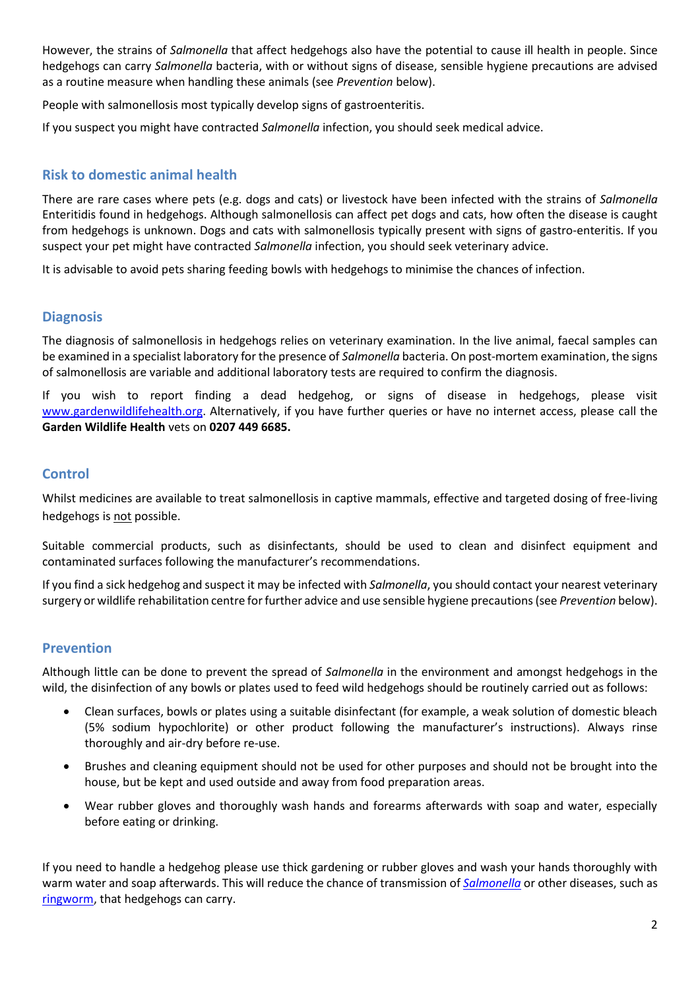However, the strains of *Salmonella* that affect hedgehogs also have the potential to cause ill health in people. Since hedgehogs can carry *Salmonella* bacteria, with or without signs of disease, sensible hygiene precautions are advised as a routine measure when handling these animals (see *Prevention* below).

People with salmonellosis most typically develop signs of gastroenteritis.

If you suspect you might have contracted *Salmonella* infection, you should seek medical advice.

## **Risk to domestic animal health**

There are rare cases where pets (e.g. dogs and cats) or livestock have been infected with the strains of *Salmonella* Enteritidis found in hedgehogs. Although salmonellosis can affect pet dogs and cats, how often the disease is caught from hedgehogs is unknown. Dogs and cats with salmonellosis typically present with signs of gastro-enteritis. If you suspect your pet might have contracted *Salmonella* infection, you should seek veterinary advice.

It is advisable to avoid pets sharing feeding bowls with hedgehogs to minimise the chances of infection.

### **Diagnosis**

The diagnosis of salmonellosis in hedgehogs relies on veterinary examination. In the live animal, faecal samples can be examined in a specialist laboratory for the presence of *Salmonella* bacteria. On post-mortem examination, the signs of salmonellosis are variable and additional laboratory tests are required to confirm the diagnosis.

If you wish to report finding a dead hedgehog, or signs of disease in hedgehogs, please visit [www.gardenwildlifehealth.org.](http://www.gardenwildlifehealth.org/) Alternatively, if you have further queries or have no internet access, please call the **Garden Wildlife Health** vets on **0207 449 6685.**

### **Control**

Whilst medicines are available to treat salmonellosis in captive mammals, effective and targeted dosing of free-living hedgehogs is not possible.

Suitable commercial products, such as disinfectants, should be used to clean and disinfect equipment and contaminated surfaces following the manufacturer's recommendations.

If you find a sick hedgehog and suspect it may be infected with *Salmonella*, you should contact your nearest veterinary surgery or wildlife rehabilitation centre for further advice and use sensible hygiene precautions(see *Prevention* below).

### **Prevention**

Although little can be done to prevent the spread of *Salmonella* in the environment and amongst hedgehogs in the wild, the disinfection of any bowls or plates used to feed wild hedgehogs should be routinely carried out as follows:

- Clean surfaces, bowls or plates using a suitable disinfectant (for example, a weak solution of domestic bleach (5% sodium hypochlorite) or other product following the manufacturer's instructions). Always rinse thoroughly and air-dry before re-use.
- Brushes and cleaning equipment should not be used for other purposes and should not be brought into the house, but be kept and used outside and away from food preparation areas.
- Wear rubber gloves and thoroughly wash hands and forearms afterwards with soap and water, especially before eating or drinking.

If you need to handle a hedgehog please use thick gardening or rubber gloves and wash your hands thoroughly with warm water and soap afterwards. This will reduce the chance of transmission of *[Salmonella](https://www.gardenwildlifehealth.org/portfolio/hedgehog-salmonellosis/)* or other diseases, such as [ringworm,](https://www.gardenwildlifehealth.org/portfolio/ringworm-in-hedgehogs/) that hedgehogs can carry.